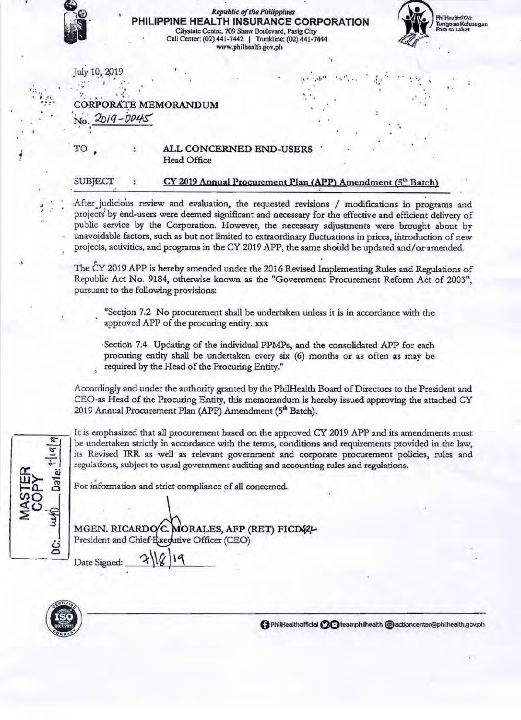

## **Republic of the Philippines** PHILIPPINE HEALTH INSURANCE CORPORATION Citystate Centre, 709 Shaw Boulevard, Pasig City Call Center: (02) 441-7442 | Trunkline: (02) 441-7444<br>www.philhealth.gov.ph



July 10, 2019

# **CORPORATE MEMORANDUM**

 $2019 - 0045$ 

### ALL CONCERNED END-USERS Head Office

### SUBJECT

TO

### CY 2019 Annual Procurement Plan (APP) Amendment (5<sup>th</sup> Batch)

After judicious review and evaluation, the requested revisions / modifications in programs and projects by end-users were deemed significant and necessary for the effective and efficient delivery of public service by the Corporation. However, the necessary adjustments were brought about by unavoidable factors, such as but not limited to extraordinary fluctuations in prices, introduction of new projects, activities, and programs in the CY 2019 APP, the same should be updated and/or amended.

The CY 2019 APP is hereby amended under the 2016 Revised Implementing Rules and Regulations of Republic Act No. 9184, otherwise known as the "Government Procurement Reform Act of 2003", pursuant to the following provisions:

"Section 7.2 No procurement shall be undertaken unless it is in accordance with the approved APP of the procuring entity. xxx

Section 7.4 Updating of the individual PPMPs, and the consolidated APP for each procuring entity shall be undertaken every six (6) months or as often as may be required by the Head of the Procuring Entity."

Accordingly and under the authority granted by the PhilHealth Board of Directors to the President and CEO as Head of the Procuring Entity, this memorandum is hereby issued approving the attached CY 2019 Annual Procurement Plan (APP) Amendment (5<sup>th</sup> Batch).

 $||u||_2$ ર્ગુ Ġ.

It is emphasized that all procurement based on the approved CY 2019 APP and its amendments must be undertaken strictly in accordance with the terms, conditions and requirements provided in the law, its Revised IRR as well as relevant government and corporate procurement policies, rules and regulations, subject to usual government auditing and accounting rules and regulations.

For information and strict compliance of all concerned.

MGEN. RICARDO/C. MORALES, AFP (RET) FICD42L President and Chief Txedutive Officer (CEO)

Date Signed:



**GPhilHealthofficial CO** teamphilhealth @actioncenter@philhealth.gov.ph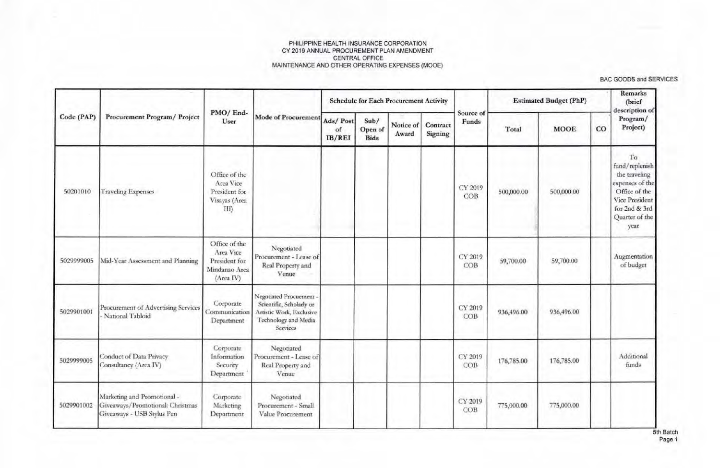|            |                                                                                               |                                                                           |                                                                                                                     |                          |                                | <b>Schedule for Each Procurement Activity</b> |                     |                    |            | <b>Estimated Budget (PhP)</b> |    | Remarks<br>(brief<br>description of                                                                                                    |
|------------|-----------------------------------------------------------------------------------------------|---------------------------------------------------------------------------|---------------------------------------------------------------------------------------------------------------------|--------------------------|--------------------------------|-----------------------------------------------|---------------------|--------------------|------------|-------------------------------|----|----------------------------------------------------------------------------------------------------------------------------------------|
| Code (PAP) | Procurement Program/ Project                                                                  | PMO/End-<br>User                                                          | Mode of Procurement                                                                                                 | Ads/Post<br>of<br>IB/REI | Sub/<br>Open of<br><b>Bids</b> | Notice of<br>Award                            | Contract<br>Signing | Source of<br>Funds | Total      | <b>MOOE</b>                   | CO | Program/<br>Project)                                                                                                                   |
| 50201010   | <b>Traveling Expenses</b>                                                                     | Office of the<br>Area Vice<br>President for<br>Visayas (Area<br>III       |                                                                                                                     |                          |                                |                                               |                     | CY 2019<br>COB     | 500,000.00 | 500,000.00                    |    | To<br>fund/replenish<br>the traveling<br>expenses of the<br>Office of the<br>Vice President<br>for 2nd & 3rd<br>Quarter of the<br>year |
| 5029999005 | Mid-Year Assessment and Planning                                                              | Office of the<br>Area Vice<br>President for<br>Mindanao Area<br>(Area IV) | Negotiated<br>Procurement - Lease of<br>Real Property and<br>Venue                                                  |                          |                                |                                               |                     | CY 2019<br>COB     | 59,700.00  | 59,700.00                     |    | Augmentation<br>of budget                                                                                                              |
| 5029901001 | Procurement of Advertising Services<br>National Tabloid                                       | Corporate<br>Communication<br>Department                                  | Negotiated Procuement -<br>Scientific, Scholarly or<br>Artistic Work, Exclusive<br>Technology and Media<br>Services |                          |                                |                                               |                     | CY 2019<br>COB     | 936,496.00 | 936,496.00                    |    |                                                                                                                                        |
| 5029999005 | Conduct of Data Privacy<br>Consultancy (Area IV)                                              | Corporate<br>Information<br>Security<br>Department                        | Negotiated<br>Procurement - Lease of<br>Real Property and<br>Venue                                                  |                          |                                |                                               |                     | CY 2019<br>COB     | 176,785.00 | 176,785.00                    |    | Additional<br>funds                                                                                                                    |
| 5029901002 | Marketing and Promotional -<br>Giveaways/Promotional: Christmas<br>Giveaways - USB Stylus Pen | Corporate<br>Marketing<br>Department                                      | Negotiated<br>Procurement - Small<br>Value Procurement                                                              |                          |                                |                                               |                     | CY 2019<br>COB     | 775,000.00 | 775,000.00                    |    |                                                                                                                                        |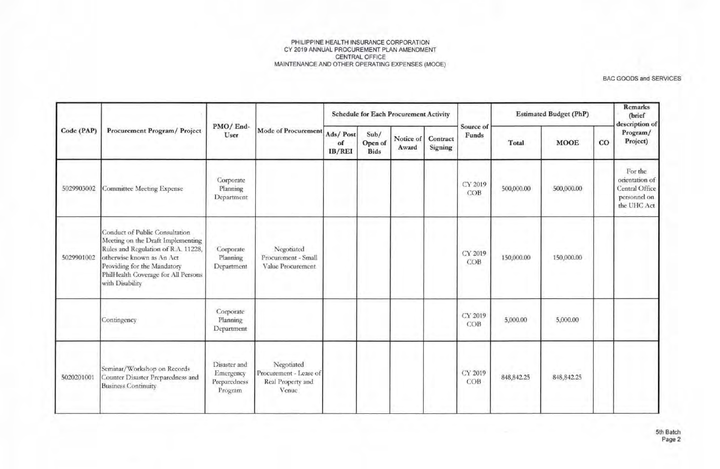|            |                                                                                                                                                                                                                                  |                                                      |                                                                    |                          |                                | <b>Schedule for Each Procurement Activity</b> |                     |                    |              | <b>Estimated Budget (PhP)</b> |    | <b>Remarks</b><br>(brief<br>description of                                 |
|------------|----------------------------------------------------------------------------------------------------------------------------------------------------------------------------------------------------------------------------------|------------------------------------------------------|--------------------------------------------------------------------|--------------------------|--------------------------------|-----------------------------------------------|---------------------|--------------------|--------------|-------------------------------|----|----------------------------------------------------------------------------|
| Code (PAP) | Procurement Program/ Project                                                                                                                                                                                                     | PMO/End-<br>User                                     | Mode of Procurement                                                | Ads/Post<br>of<br>IB/REI | Sub/<br>Open of<br><b>Bids</b> | Notice of<br>Award                            | Contract<br>Signing | Source of<br>Funds | Total        | <b>MOOE</b>                   | CO | Program/<br>Project)                                                       |
| 5029903002 | <b>Committee Meeting Expense</b>                                                                                                                                                                                                 | Corporate<br>Planning<br>Department                  |                                                                    |                          |                                |                                               |                     | CY 2019<br>COB     | 500,000.00   | 500,000.00                    |    | For the<br>orientation of<br>Central Office<br>personnel on<br>the UHC Act |
| 5029901002 | Conduct of Public Consultation<br>Meeting on the Draft Implementing<br>Rules and Regulation of R.A. 11228,<br>otherwise known as An Act<br>Providing for the Mandatory<br>PhilHealth Coverage for All Persons<br>with Disability | Corporate<br>Planning<br>Department                  | Negotiated<br>Procurement - Small<br>Value Procurement             |                          |                                |                                               |                     | CY 2019<br>COB     | 150,000.00   | 150,000.00                    |    |                                                                            |
|            | Contingency                                                                                                                                                                                                                      | Corporate<br>Planning<br>Department                  |                                                                    |                          |                                |                                               |                     | CY 2019<br>COB     | 5,000.00     | 5,000.00                      |    |                                                                            |
| 5020201001 | Seminar/Workshop on Records<br>Counter Disaster Preparedness and<br><b>Business Continuity</b>                                                                                                                                   | Disaster and<br>Emergency<br>Preparedness<br>Program | Negotiated<br>Procurement - Lease of<br>Real Property and<br>Venue |                          |                                |                                               |                     | CY 2019<br>COB     | 848, 842. 25 | 848, 842. 25                  |    |                                                                            |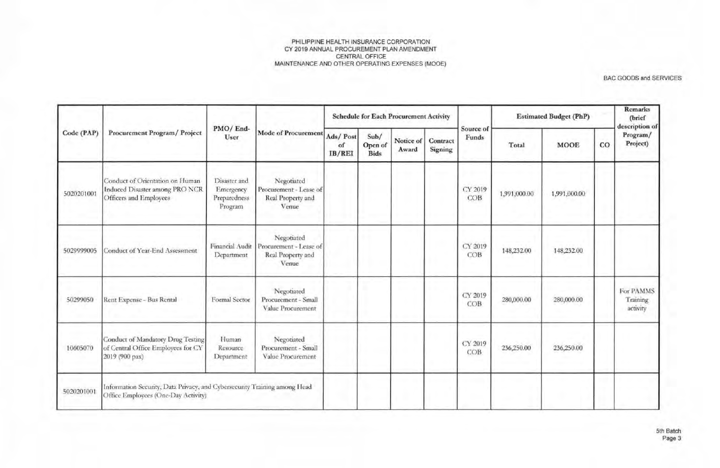| Code (PAP) |                                                                                                                  |                                                      | Mode of Procurement                                                |                          |                                | <b>Schedule for Each Procurement Activity</b> |                     |                    |              | <b>Estimated Budget (PhP)</b> |             | <b>Remarks</b><br>(brief<br>description of<br>Program/<br>Project) |
|------------|------------------------------------------------------------------------------------------------------------------|------------------------------------------------------|--------------------------------------------------------------------|--------------------------|--------------------------------|-----------------------------------------------|---------------------|--------------------|--------------|-------------------------------|-------------|--------------------------------------------------------------------|
|            | Procurement Program/ Project                                                                                     | PMO/End-<br>User                                     |                                                                    | Ads/Post<br>of<br>IB/REI | Sub/<br>Open of<br><b>Bids</b> | Notice of<br>Award                            | Contract<br>Signing | Source of<br>Funds | Total        | <b>MOOE</b>                   | $_{\rm CO}$ |                                                                    |
| 5020201001 | Conduct of Orientation on Human<br>Induced Disaster among PRO NCR<br>Officers and Employees                      | Disaster and<br>Emergency<br>Preparedness<br>Program | Negotiated<br>Procurement - Lease of<br>Real Property and<br>Venue |                          |                                |                                               |                     | CY 2019<br>COB     | 1,991,000.00 | 1,991,000.00                  |             |                                                                    |
| 5029999005 | Conduct of Year-End Assessment                                                                                   | Financial Audit<br>Department                        | Negotiated<br>Procurement - Lease of<br>Real Property and<br>Venue |                          |                                |                                               |                     | CY 2019<br>COB     | 148,232.00   | 148,232.00                    |             |                                                                    |
| 50299050   | Rent Expense - Bus Rental                                                                                        | Formal Sector                                        | Negotiated<br>Procurement - Small<br>Value Procurement             |                          |                                |                                               |                     | CY 2019<br>COB     | 280,000.00   | 280,000.00                    |             | For PAMMS<br>Training<br>activity                                  |
| 10605070   | Conduct of Mandatory Drug Testing<br>of Central Office Employees for CY<br>2019 (900 pax)                        | Human<br>Resource<br>Department                      | Negotiated<br>Procurement - Small<br>Value Procurement             |                          |                                |                                               |                     | CY 2019<br>COB.    | 236,250.00   | 236,250.00                    |             |                                                                    |
| 5020201001 | Information Security, Data Privacy, and Cybersecurity Training among Head<br>Office Employees (One-Day Activity) |                                                      |                                                                    |                          |                                |                                               |                     |                    |              |                               |             |                                                                    |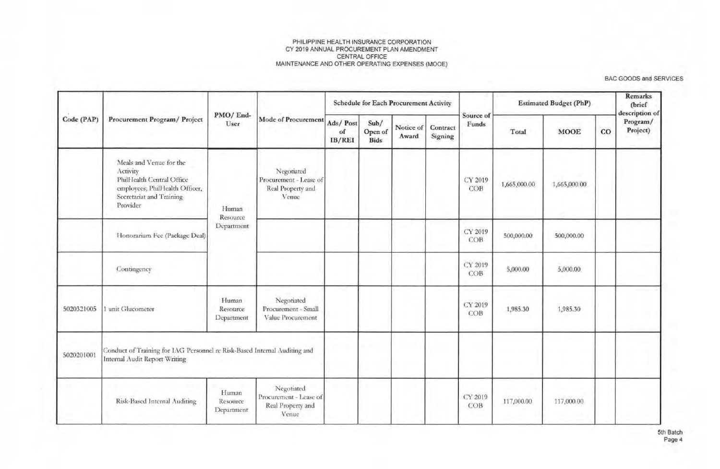| Code (PAP) |                                                                                                                                            | PMO/End-                        |                                                                    |              |                                | <b>Schedule for Each Procurement Activity</b> |                     |                    |              | <b>Estimated Budget (PhP)</b> |             | Remarks<br>(brief<br>description of |
|------------|--------------------------------------------------------------------------------------------------------------------------------------------|---------------------------------|--------------------------------------------------------------------|--------------|--------------------------------|-----------------------------------------------|---------------------|--------------------|--------------|-------------------------------|-------------|-------------------------------------|
|            | Procurement Program/ Project                                                                                                               | User                            | Mode of Procurement Ads/Post                                       | of<br>IB/REI | Sub/<br>Open of<br><b>Bids</b> | Notice of<br>Award                            | Contract<br>Signing | Source of<br>Funds | Total        | <b>MOOE</b>                   | $_{\rm CO}$ | Program/<br>Project)                |
|            | Meals and Venue for the<br>Activity<br>PhilHealth Central Office<br>employees; PhilHealth Officer,<br>Secretariat and Training<br>Provider | Human<br>Resource               | Negotiated<br>Procurement - Lease of<br>Real Property and<br>Venue |              |                                |                                               |                     | CY 2019<br>COB     | 1,665,000.00 | 1,665,000.00                  |             |                                     |
|            | Honorarium Fee (Package Deal)                                                                                                              | Department                      |                                                                    |              |                                |                                               |                     | CY 2019<br>COB     | 500,000.00   | 500,000.00                    |             |                                     |
|            | Contingency                                                                                                                                |                                 |                                                                    |              |                                |                                               |                     | CY 2019<br>COB     | 5,000.00     | 5,000.00                      |             |                                     |
| 5020321005 | 1 unit Glucometer                                                                                                                          | Human<br>Resource<br>Department | Negotiated<br>Procurement - Small<br>Value Procurement             |              |                                |                                               |                     | CY 2019<br>COB     | 1,985.30     | 1,985.30                      |             |                                     |
| 5020201001 | Conduct of Training for IAG Personnel re Risk-Based Internal Auditing and<br>Internal Audit Report Writing                                 |                                 |                                                                    |              |                                |                                               |                     |                    |              |                               |             |                                     |
|            | Risk-Based Internal Auditing                                                                                                               | Human<br>Resource<br>Department | Negotiated<br>Procurement - Lease of<br>Real Property and<br>Venue |              |                                |                                               |                     | CY 2019<br>COB     | 117,000.00   | 117,000.00                    |             |                                     |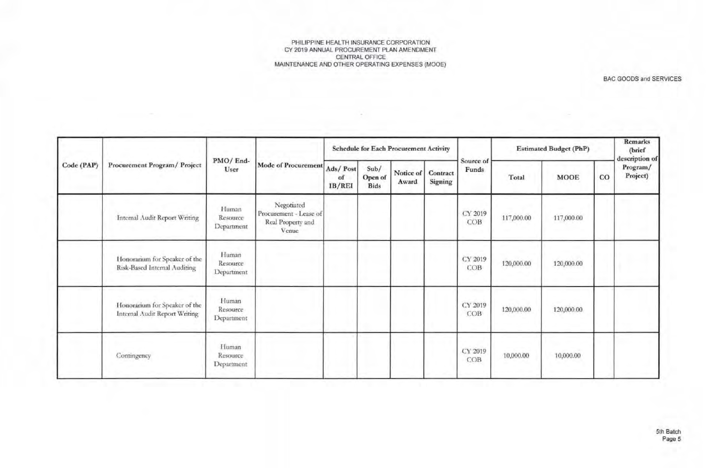×

| Code (PAP) |                                                                |                                 | <b>Mode of Procurement</b>                                         |                          |                                | <b>Schedule for Each Procurement Activity</b> |                     |                    | <b>Estimated Budget (PhP)</b> |             | Remarks<br>(brief<br>description of |                      |
|------------|----------------------------------------------------------------|---------------------------------|--------------------------------------------------------------------|--------------------------|--------------------------------|-----------------------------------------------|---------------------|--------------------|-------------------------------|-------------|-------------------------------------|----------------------|
|            | Procurement Program/ Project                                   | PMO/End-<br>User                |                                                                    | Ads/Post<br>of<br>IB/REI | Sub/<br>Open of<br><b>Bids</b> | Notice of<br>Award                            | Contract<br>Signing | Source of<br>Funds | Total                         | <b>MOOE</b> | $_{\rm CO}$                         | Program/<br>Project) |
|            | Internal Audit Report Writing                                  | Human<br>Resource<br>Department | Negotiated<br>Procurement - Lease of<br>Real Property and<br>Venue |                          |                                |                                               |                     | CY 2019<br>COB     | 117,000.00                    | 117,000.00  |                                     |                      |
|            | Honorarium for Speaker of the<br>Risk-Based Internal Auditing  | Human<br>Resource<br>Department |                                                                    |                          |                                |                                               |                     | CY 2019<br>COB     | 120,000.00                    | 120,000.00  |                                     |                      |
|            | Honorarium for Speaker of the<br>Internal Audit Report Writing | Human<br>Resource<br>Department |                                                                    |                          |                                |                                               |                     | CY 2019<br>COB     | 120,000.00                    | 120,000.00  |                                     |                      |
|            | Contingency                                                    | Human<br>Resource<br>Department |                                                                    |                          |                                |                                               |                     | CY 2019<br>COB     | 10,000.00                     | 10,000.00   |                                     |                      |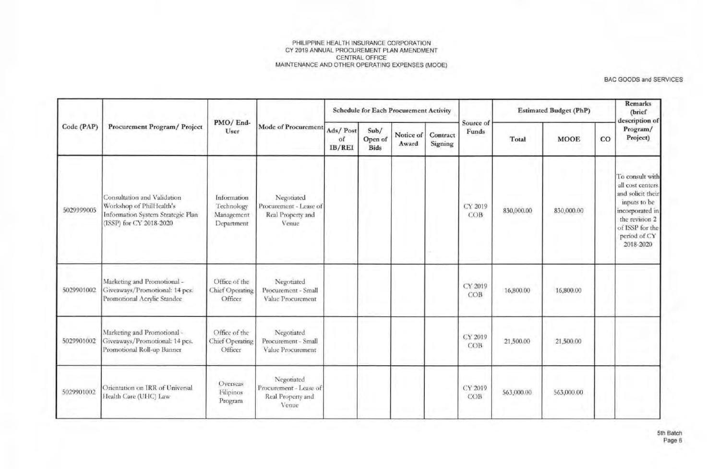|            |                                                                                                                         |                                                       |                                                                    |                          |                                | <b>Schedule for Each Procurement Activity</b> |                     |                    |            | <b>Estimated Budget (PhP)</b> |    | Remarks<br>(brief<br>description of                                                                                                                            |
|------------|-------------------------------------------------------------------------------------------------------------------------|-------------------------------------------------------|--------------------------------------------------------------------|--------------------------|--------------------------------|-----------------------------------------------|---------------------|--------------------|------------|-------------------------------|----|----------------------------------------------------------------------------------------------------------------------------------------------------------------|
| Code (PAP) | Procurement Program/ Project                                                                                            | PMO/End-<br>User                                      | Mode of Procurement                                                | Ads/Post<br>of<br>IB/REI | Sub/<br>Open of<br><b>Bids</b> | Notice of<br>Award                            | Contract<br>Signing | Source of<br>Funds | Total      | <b>MOOE</b>                   | CO | Program/<br>Project)                                                                                                                                           |
| 5029999005 | Consultation and Validation<br>Workshop of PhilHealth's<br>Information System Strategic Plan<br>(ISSP) for CY 2018-2020 | Information<br>Technology<br>Management<br>Department | Negotiated<br>Procurement - Lease of<br>Real Property and<br>Venue |                          |                                |                                               |                     | CY 2019<br>COB     | 830,000.00 | 830,000.00                    |    | To consult with<br>all cost centers.<br>and solicit their<br>inputs to be<br>incorporated in<br>the revision 2<br>of ISSP for the<br>period of CY<br>2018-2020 |
| 5029901002 | Marketing and Promotional -<br>Giveaways/Promotional: 14 pcs.<br>Promotional Acrylic Standee                            | Office of the<br><b>Chief Operating</b><br>Officer    | Negotiated<br>Procurement - Small<br>Value Procurement             |                          |                                |                                               |                     | CY 2019<br>COB     | 16,800.00  | 16,800.00                     |    |                                                                                                                                                                |
| 5029901002 | Marketing and Promotional -<br>Giveaways/Promotional: 14 pcs.<br>Promotional Roll-up Banner                             | Office of the<br>Chief Operating<br>Officer           | Negotiated<br>Procurement - Small<br>Value Procurement             |                          |                                |                                               |                     | CY 2019<br>COB     | 21,500.00  | 21,500.00                     |    |                                                                                                                                                                |
| 5029901002 | Orientation on IRR of Universal<br>Health Care (UHC) Law                                                                | Overseas<br>Filipinos<br>Program                      | Negotiated<br>Procurement - Lease of<br>Real Property and<br>Venue |                          |                                |                                               |                     | CY 2019<br>COB     | 563,000.00 | 563,000.00                    |    |                                                                                                                                                                |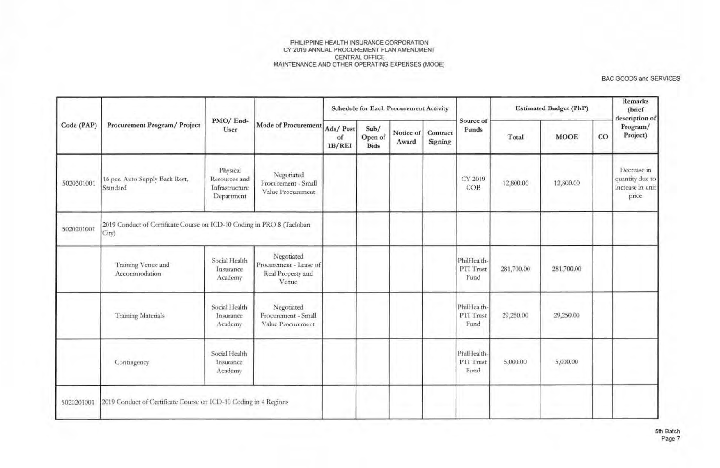| Code (PAP) |                                                                                 |                                                           |                                                                    |                          |                                | <b>Schedule for Each Procurement Activity</b> |                     |                                  |            | <b>Estimated Budget (PhP)</b> | CO | Remarks<br>(brief<br>description of                         |
|------------|---------------------------------------------------------------------------------|-----------------------------------------------------------|--------------------------------------------------------------------|--------------------------|--------------------------------|-----------------------------------------------|---------------------|----------------------------------|------------|-------------------------------|----|-------------------------------------------------------------|
|            | Procurement Program/ Project                                                    | PMO/End-<br>User                                          | Mode of Procurement                                                | Ads/Post<br>of<br>IB/REI | Sub/<br>Open of<br><b>Bids</b> | Notice of<br>Award                            | Contract<br>Signing | Source of<br>Funds               | Total      | <b>MOOE</b>                   |    | Program/<br>Project)                                        |
| 5020301001 | 16 pcs. Auto Supply Back Rest,<br>Standard                                      | Physical<br>Resources and<br>Infrastructure<br>Department | Negotiated<br>Procurement - Small<br>Value Procurement             |                          |                                |                                               |                     | CY 2019<br>COB                   | 12,800.00  | 12,800.00                     |    | Decrease in<br>quantity due to<br>increase in unit<br>price |
| 5020201001 | 2019 Conduct of Certificate Course on ICD-10 Coding in PRO 8 (Tacloban<br>City) |                                                           |                                                                    |                          |                                |                                               |                     |                                  |            |                               |    |                                                             |
|            | Training Venue and<br>Accommodation                                             | Social Health<br>Insurance<br>Academy                     | Negotiated<br>Procurement - Lease of<br>Real Property and<br>Venue |                          |                                |                                               |                     | PhilHealth-<br>PTI Trust<br>Fund | 281,700.00 | 281,700.00                    |    |                                                             |
|            | <b>Training Materials</b>                                                       | Social Health<br>Insurance<br>Academy                     | Negotiated<br>Procurement - Small<br>Value Procurement             |                          |                                |                                               |                     | PhilHealth-<br>PTI Trust<br>Fund | 29,250.00  | 29,250.00                     |    |                                                             |
|            | Contingency                                                                     | Social Health<br>Insurance<br>Academy                     |                                                                    |                          |                                |                                               |                     | PhilHealth-<br>PTI Trust<br>Fund | 5,000.00   | 5,000.00                      |    |                                                             |
| 5020201001 | 2019 Conduct of Certificate Course on ICD-10 Coding in 4 Regions                |                                                           |                                                                    |                          |                                |                                               |                     |                                  |            |                               |    |                                                             |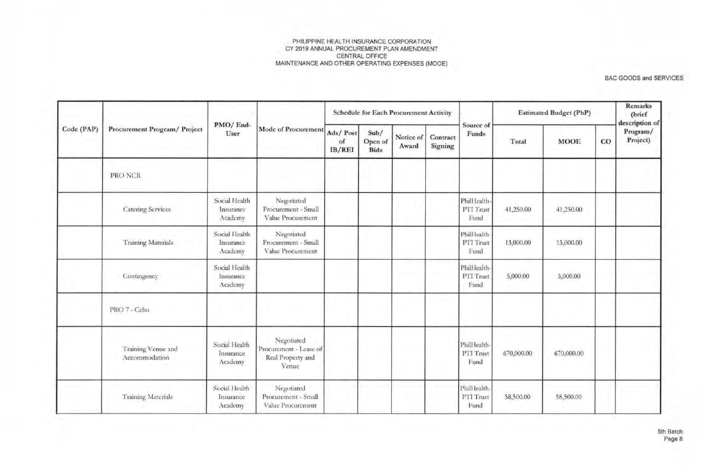|            | Procurement Program/ Project        |                                       |                                                                    |                          |                                | <b>Schedule for Each Procurement Activity</b> |                     |                                    | <b>Estimated Budget (PhP)</b> |             | Remarks<br>(brief<br>description of |                      |
|------------|-------------------------------------|---------------------------------------|--------------------------------------------------------------------|--------------------------|--------------------------------|-----------------------------------------------|---------------------|------------------------------------|-------------------------------|-------------|-------------------------------------|----------------------|
| Code (PAP) |                                     | PMO/End-<br>User                      | Mode of Procurement                                                | Ads/Post<br>of<br>IB/REI | Sub/<br>Open of<br><b>Bids</b> | Notice of<br>Award                            | Contract<br>Signing | Source of<br>Funds                 | Total                         | <b>MOOE</b> | $_{\rm CO}$                         | Program/<br>Project) |
|            | PRO NCR                             |                                       |                                                                    |                          |                                |                                               |                     |                                    |                               |             |                                     |                      |
|            | <b>Catering Services</b>            | Social Health<br>Insurance<br>Academy | Negotiated<br>Procurement - Small<br>Value Procurement             |                          |                                |                                               |                     | Phill lealth-<br>PTI Trust<br>Fund | 41,250.00                     | 41,250.00   |                                     |                      |
|            | <b>Training Materials</b>           | Social Health<br>Insurance<br>Academy | Negotiated<br>Procurement - Small<br>Value Procurement             |                          |                                |                                               |                     | Phili Iealth<br>PTT Trust<br>Fund  | 13,000.00                     | 13,000.00   |                                     |                      |
|            | Contingency                         | Social Health<br>Insurance<br>Academy |                                                                    |                          |                                |                                               |                     | Phill lealth<br>PTI Trust<br>Fund  | 5,000.00                      | 5,000.00    |                                     |                      |
|            | PRO 7 - Cebu                        |                                       |                                                                    |                          |                                |                                               |                     |                                    |                               |             |                                     |                      |
|            | Training Venue and<br>Accommodation | Social Health<br>Insurance<br>Academy | Negotiated<br>Procurement - Lease of<br>Real Property and<br>Venue |                          |                                |                                               |                     | Phill lealth-<br>PTI Trust<br>Fund | 670,000.00                    | 670,000.00  |                                     |                      |
|            | <b>Training Materials</b>           | Social Health<br>Insurance<br>Academy | Negotiated<br>Procurement - Small<br>Value Procurement             |                          |                                |                                               |                     | Phill lealth-<br>PTI Trust<br>Fund | 58,500.00                     | 58,500.00   |                                     |                      |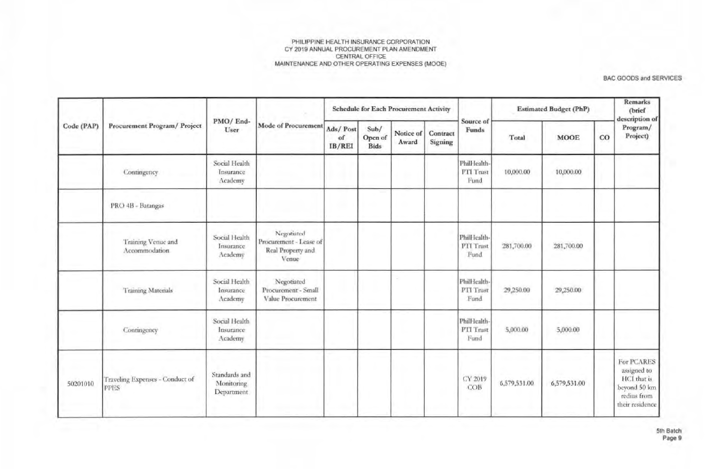|            |                                                |                                           |                                                                    |                          |                                | <b>Schedule for Each Procurement Activity</b> |                     |                                    | <b>Estimated Budget (PhP)</b> |              |    | Remarks<br>(brief<br>description of                                                        |
|------------|------------------------------------------------|-------------------------------------------|--------------------------------------------------------------------|--------------------------|--------------------------------|-----------------------------------------------|---------------------|------------------------------------|-------------------------------|--------------|----|--------------------------------------------------------------------------------------------|
| Code (PAP) | Procurement Program/ Project                   | PMO/End-<br>User                          | Mode of Procurement                                                | Ads/Post<br>of<br>IB/REI | Sub/<br>Open of<br><b>Bids</b> | Notice of<br>Award                            | Contract<br>Signing | Source of<br><b>Funds</b>          | Total                         | <b>MOOE</b>  | CO | Program/<br>Project)                                                                       |
|            | Contingency                                    | Social Health<br>Insurance<br>Academy     |                                                                    |                          |                                |                                               |                     | Phill Iealth-<br>PTI Trust<br>Fund | 10,000.00                     | 10,000.00    |    |                                                                                            |
|            | PRO 4B - Batangas                              |                                           |                                                                    |                          |                                |                                               |                     |                                    |                               |              |    |                                                                                            |
|            | Training Venue and<br>Accommodation            | Social Health<br>Insurance<br>Academy     | Negotiated<br>Procurement - Lease of<br>Real Property and<br>Venue |                          |                                |                                               |                     | Phill Icalth-<br>PTI Trust<br>Fund | 281,700.00                    | 281,700.00   |    |                                                                                            |
|            | <b>Training Materials</b>                      | Social Health<br>Insurance<br>Academy     | Negotiated<br>Procurement - Small<br>Value Procurement             |                          |                                |                                               |                     | Phill Icalth-<br>PTI Trust<br>Fund | 29,250.00                     | 29,250.00    |    |                                                                                            |
|            | Contingency                                    | Social Health<br>Insurance<br>Academy     |                                                                    |                          |                                |                                               |                     | PhilHealth-<br>PTI Trust<br>Fund   | 5,000.00                      | 5,000.00     |    |                                                                                            |
| 50201010   | Traveling Expenses - Conduct of<br><b>PPES</b> | Standards and<br>Monitoring<br>Department |                                                                    |                          |                                |                                               |                     | CY 2019<br>COB                     | 6,579,531.00                  | 6,579,531.00 |    | For PCARES<br>assigned to<br>HCI that is<br>beyond 50 km<br>redius from<br>their residence |